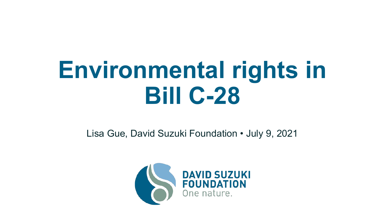# **Environmental rights in Bill C-28**

Lisa Gue, David Suzuki Foundation • July 9, 2021

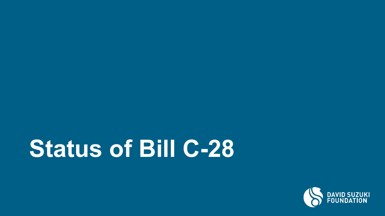# **Status of Bill C-28**

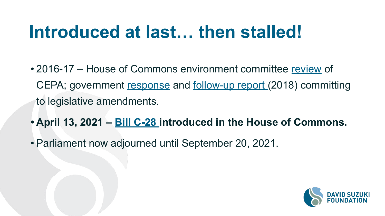#### **Introduced at last… then stalled!**

- 2016-17 House of Commons environment committee [review](http://www.ourcommons.ca/DocumentViewer/en/42-1/ENVI/report-8) of CEPA; government [response](http://www.ourcommons.ca/content/Committee/421/ENVI/GovResponse/RP9148698/421_ENVI_Rpt08_GR/421_ENVI_Rpt08_GR-e.pdf) and [follow-up report \(](https://www.canada.ca/en/environment-climate-change/services/canadian-environmental-protection-act-registry/review/standing-committee-report-cepa-2018.html)2018) committing to legislative amendments.
- **• April 13, 2021 [Bill C-28](https://parl.ca/DocumentViewer/en/43-2/bill/C-28/first-reading) introduced in the House of Commons.**
- Parliament now adjourned until September 20, 2021.

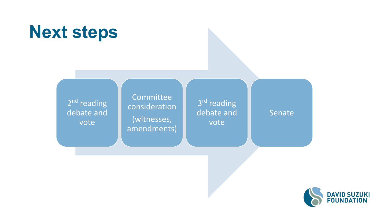

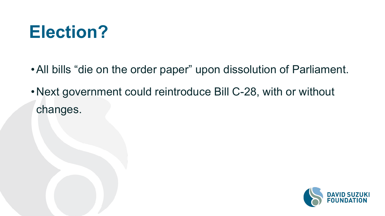#### **Election?**

- •All bills "die on the order paper" upon dissolution of Parliament.
- •Next government could reintroduce Bill C-28, with or without changes.

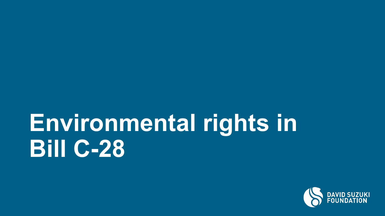# **Environmental rights in Bill C-28**

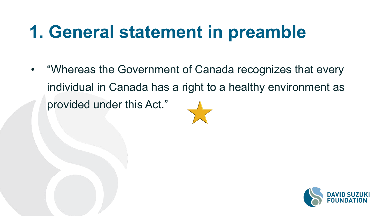#### **1. General statement in preamble**

• "Whereas the Government of Canada recognizes that every individual in Canada has a right to a healthy environment as provided under this Act."

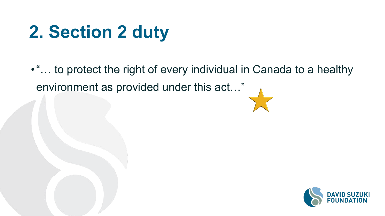#### **2. Section 2 duty**

•"… to protect the right of every individual in Canada to a healthy environment as provided under this act…"

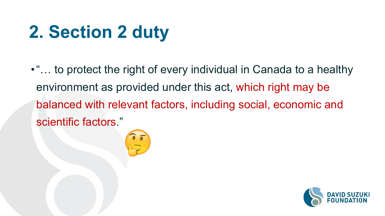## **2. Section 2 duty**

•"… to protect the right of every individual in Canada to a healthy environment as provided under this act, which right may be balanced with relevant factors, including social, economic and scientific factors."



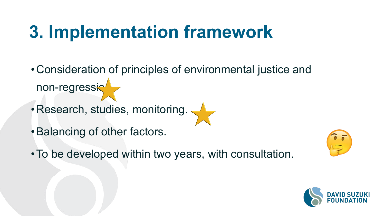#### **3. Implementation framework**

- •Consideration of principles of environmental justice and non-regression
- Research, studies, monitoring.
- •Balancing of other factors.
- •To be developed within two years, with consultation.



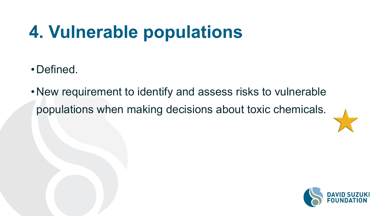## **4. Vulnerable populations**

- •Defined.
- •New requirement to identify and assess risks to vulnerable populations when making decisions about toxic chemicals.



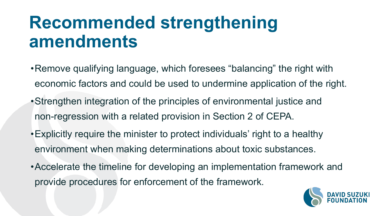#### **Recommended strengthening amendments**

- •Remove qualifying language, which foresees "balancing" the right with economic factors and could be used to undermine application of the right.
- •Strengthen integration of the principles of environmental justice and non-regression with a related provision in Section 2 of CEPA.
- •Explicitly require the minister to protect individuals' right to a healthy environment when making determinations about toxic substances.
- •Accelerate the timeline for developing an implementation framework and provide procedures for enforcement of the framework.

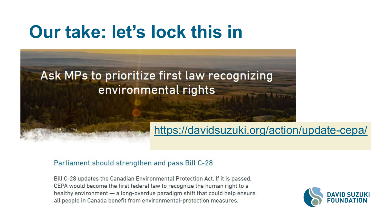#### **Our take: let's lock this in**

#### Ask MPs to prioritize first law recognizing environmental rights

#### <https://davidsuzuki.org/action/update-cepa/>

#### Parliament should strengthen and pass Bill C-28

Bill C-28 updates the Canadian Environmental Protection Act. If it is passed, CEPA would become the first federal law to recognize the human right to a healthy environment - a long-overdue paradigm shift that could help ensure all people in Canada benefit from environmental-protection measures.

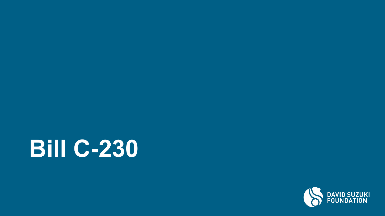

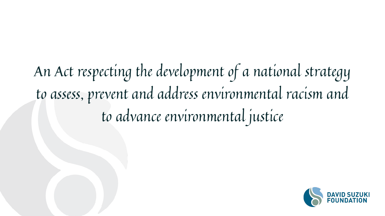## An Act respecting the development of a national strategy to assess, prevent and address environmental racism and to advance environmental justice